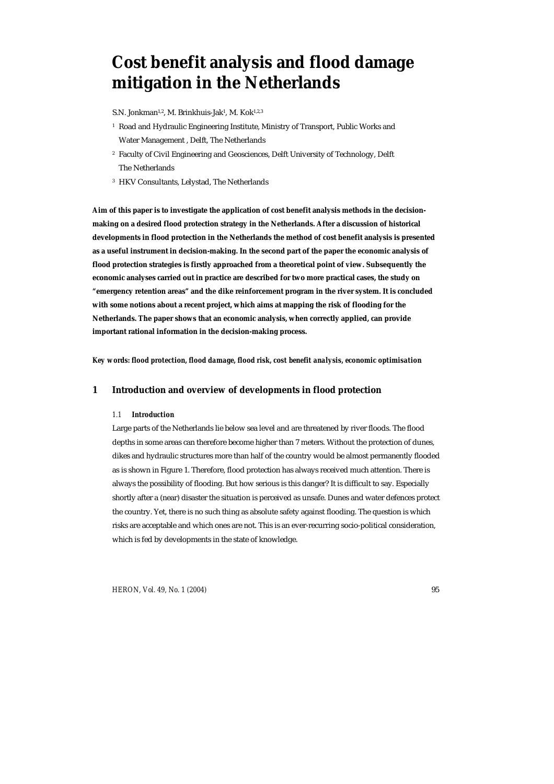# **Cost benefit analysis and flood damage mitigation in the Netherlands**

S.N. Jonkman<sup>1,2</sup>, M. Brinkhuis-Jak<sup>1</sup>, M. Kok<sup>1,2,3</sup>

- 1 Road and Hydraulic Engineering Institute, Ministry of Transport, Public Works and Water Management , Delft, The Netherlands
- 2 Faculty of Civil Engineering and Geosciences, Delft University of Technology, Delft The Netherlands
- 3 HKV Consultants, Lelystad, The Netherlands

**Aim of this paper is to investigate the application of cost benefit analysis methods in the decisionmaking on a desired flood protection strategy in the Netherlands. After a discussion of historical developments in flood protection in the Netherlands the method of cost benefit analysis is presented as a useful instrument in decision-making. In the second part of the paper the economic analysis of flood protection strategies is firstly approached from a theoretical point of view. Subsequently the economic analyses carried out in practice are described for two more practical cases, the study on "emergency retention areas" and the dike reinforcement program in the river system. It is concluded with some notions about a recent project, which aims at mapping the risk of flooding for the Netherlands. The paper shows that an economic analysis, when correctly applied, can provide important rational information in the decision-making process.** 

*Key words: flood protection, flood damage, flood risk, cost benefit analysis, economic optimisation* 

## **1 Introduction and overview of developments in flood protection**

#### *1.1 Introduction*

Large parts of the Netherlands lie below sea level and are threatened by river floods. The flood depths in some areas can therefore become higher than 7 meters. Without the protection of dunes, dikes and hydraulic structures more than half of the country would be almost permanently flooded as is shown in Figure 1. Therefore, flood protection has always received much attention. There is always the possibility of flooding. But how serious is this danger? It is difficult to say. Especially shortly after a (near) disaster the situation is perceived as unsafe. Dunes and water defences protect the country. Yet, there is no such thing as absolute safety against flooding. The question is which risks are acceptable and which ones are not. This is an ever-recurring socio-political consideration, which is fed by developments in the state of knowledge.

*HERON, Vol. 49, No. 1 (2004)* 95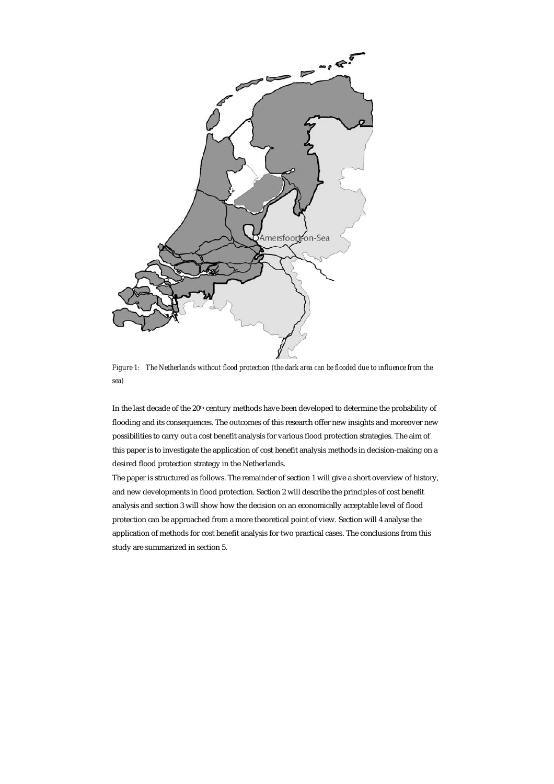

*Figure 1: The Netherlands without flood protection (the dark area can be flooded due to influence from the sea)* 

In the last decade of the 20<sup>th</sup> century methods have been developed to determine the probability of flooding and its consequences. The outcomes of this research offer new insights and moreover new possibilities to carry out a cost benefit analysis for various flood protection strategies. The aim of this paper is to investigate the application of cost benefit analysis methods in decision-making on a desired flood protection strategy in the Netherlands.

The paper is structured as follows. The remainder of section 1 will give a short overview of history, and new developments in flood protection. Section 2 will describe the principles of cost benefit analysis and section 3 will show how the decision on an economically acceptable level of flood protection can be approached from a more theoretical point of view. Section will 4 analyse the application of methods for cost benefit analysis for two practical cases. The conclusions from this study are summarized in section 5.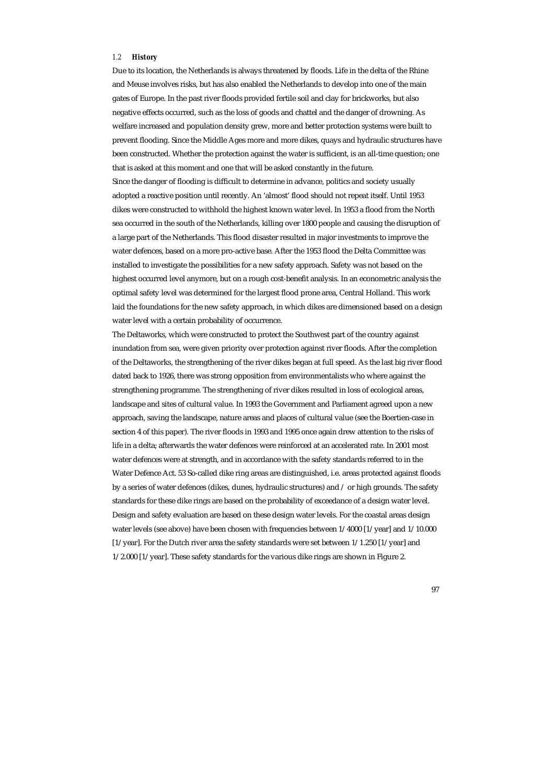#### *1.2 History*

Due to its location, the Netherlands is always threatened by floods. Life in the delta of the Rhine and Meuse involves risks, but has also enabled the Netherlands to develop into one of the main gates of Europe. In the past river floods provided fertile soil and clay for brickworks, but also negative effects occurred, such as the loss of goods and chattel and the danger of drowning. As welfare increased and population density grew, more and better protection systems were built to prevent flooding. Since the Middle Ages more and more dikes, quays and hydraulic structures have been constructed. Whether the protection against the water is sufficient, is an all-time question; one that is asked at this moment and one that will be asked constantly in the future. Since the danger of flooding is difficult to determine in advance, politics and society usually adopted a reactive position until recently. An 'almost' flood should not repeat itself. Until 1953 dikes were constructed to withhold the highest known water level. In 1953 a flood from the North sea occurred in the south of the Netherlands, killing over 1800 people and causing the disruption of a large part of the Netherlands. This flood disaster resulted in major investments to improve the water defences, based on a more pro-active base. After the 1953 flood the Delta Committee was installed to investigate the possibilities for a new safety approach. Safety was not based on the highest occurred level anymore, but on a rough cost-benefit analysis. In an econometric analysis the optimal safety level was determined for the largest flood prone area, Central Holland. This work laid the foundations for the new safety approach, in which dikes are dimensioned based on a design water level with a certain probability of occurrence.

The Deltaworks, which were constructed to protect the Southwest part of the country against inundation from sea, were given priority over protection against river floods. After the completion of the Deltaworks, the strengthening of the river dikes began at full speed. As the last big river flood dated back to 1926, there was strong opposition from environmentalists who where against the strengthening programme. The strengthening of river dikes resulted in loss of ecological areas, landscape and sites of cultural value. In 1993 the Government and Parliament agreed upon a new approach, saving the landscape, nature areas and places of cultural value (see the Boertien-case in section 4 of this paper). The river floods in 1993 and 1995 once again drew attention to the risks of life in a delta; afterwards the water defences were reinforced at an accelerated rate. In 2001 most water defences were at strength, and in accordance with the safety standards referred to in the Water Defence Act. 53 So-called dike ring areas are distinguished, i.e. areas protected against floods by a series of water defences (dikes, dunes, hydraulic structures) and / or high grounds. The safety standards for these dike rings are based on the probability of exceedance of a design water level. Design and safety evaluation are based on these design water levels. For the coastal areas design water levels (see above) have been chosen with frequencies between 1/4000 [1/year] and 1/10.000 [1/year]. For the Dutch river area the safety standards were set between 1/1.250 [1/year] and 1/2.000 [1/year]. These safety standards for the various dike rings are shown in Figure 2.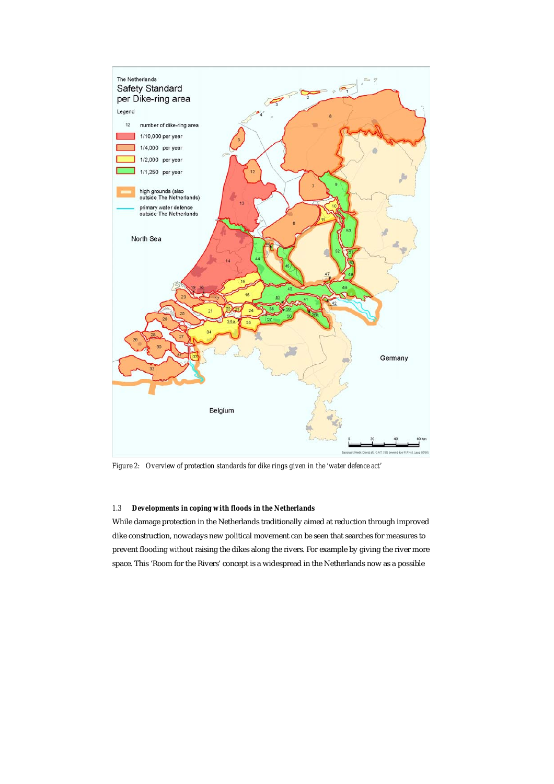

*Figure 2: Overview of protection standards for dike rings given in the 'water defence act'* 

## *1.3 Developments in coping with floods in the Netherlands*

While damage protection in the Netherlands traditionally aimed at reduction through improved dike construction, nowadays new political movement can be seen that searches for measures to prevent flooding *without* raising the dikes along the rivers. For example by giving the river more space. This 'Room for the Rivers' concept is a widespread in the Netherlands now as a possible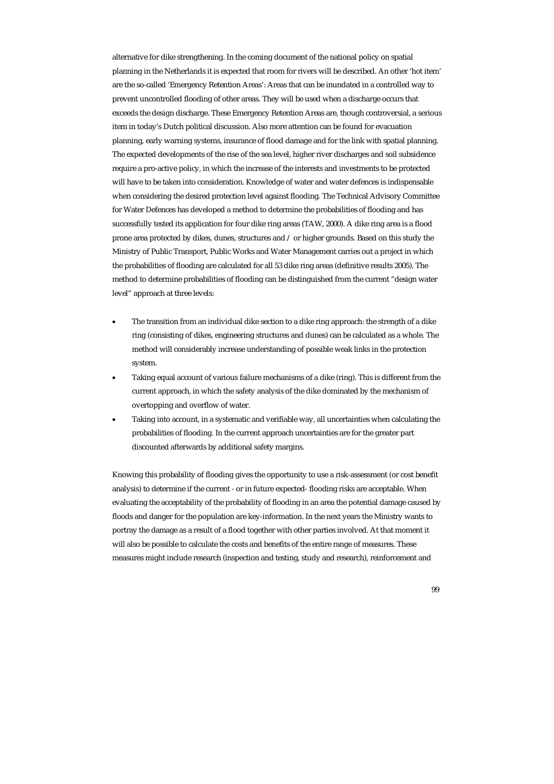alternative for dike strengthening. In the coming document of the national policy on spatial planning in the Netherlands it is expected that room for rivers will be described. An other 'hot item' are the so-called 'Emergency Retention Areas': Areas that can be inundated in a controlled way to prevent uncontrolled flooding of other areas. They will be used when a discharge occurs that exceeds the design discharge. These Emergency Retention Areas are, though controversial, a serious item in today's Dutch political discussion. Also more attention can be found for evacuation planning, early warning systems, insurance of flood damage and for the link with spatial planning. The expected developments of the rise of the sea level, higher river discharges and soil subsidence require a pro-active policy, in which the increase of the interests and investments to be protected will have to be taken into consideration. Knowledge of water and water defences is indispensable when considering the desired protection level against flooding. The Technical Advisory Committee for Water Defences has developed a method to determine the probabilities of flooding and has successfully tested its application for four dike ring areas (TAW, 2000). A dike ring area is a flood prone area protected by dikes, dunes, structures and / or higher grounds. Based on this study the Ministry of Public Transport, Public Works and Water Management carries out a project in which the probabilities of flooding are calculated for all 53 dike ring areas (definitive results 2005). The method to determine probabilities of flooding can be distinguished from the current "design water level" approach at three levels:

- The transition from an individual dike section to a dike ring approach: the strength of a dike ring (consisting of dikes, engineering structures and dunes) can be calculated as a whole. The method will considerably increase understanding of possible weak links in the protection system.
- Taking equal account of various failure mechanisms of a dike (ring). This is different from the current approach, in which the safety analysis of the dike dominated by the mechanism of overtopping and overflow of water.
- Taking into account, in a systematic and verifiable way, all uncertainties when calculating the probabilities of flooding. In the current approach uncertainties are for the greater part discounted afterwards by additional safety margins.

Knowing this probability of flooding gives the opportunity to use a risk-assessment (or cost benefit analysis) to determine if the current - or in future expected- flooding risks are acceptable. When evaluating the acceptability of the probability of flooding in an area the potential damage caused by floods and danger for the population are key-information. In the next years the Ministry wants to portray the damage as a result of a flood together with other parties involved. At that moment it will also be possible to calculate the costs and benefits of the entire range of measures. These measures might include research (inspection and testing, study and research), reinforcement and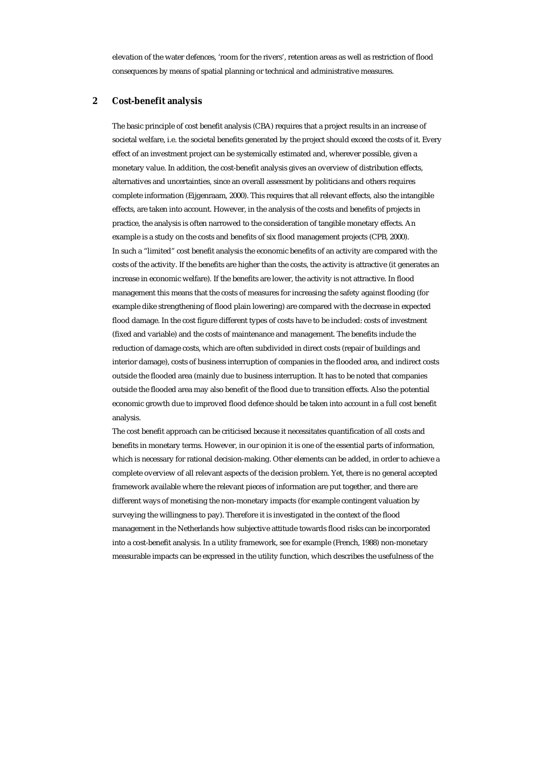elevation of the water defences, 'room for the rivers', retention areas as well as restriction of flood consequences by means of spatial planning or technical and administrative measures.

# **2 Cost-benefit analysis**

The basic principle of cost benefit analysis (CBA) requires that a project results in an increase of societal welfare, i.e. the societal benefits generated by the project should exceed the costs of it. Every effect of an investment project can be systemically estimated and, wherever possible, given a monetary value. In addition, the cost-benefit analysis gives an overview of distribution effects, alternatives and uncertainties, since an overall assessment by politicians and others requires complete information (Eijgenraam, 2000). This requires that all relevant effects, also the intangible effects, are taken into account. However, in the analysis of the costs and benefits of projects in practice, the analysis is often narrowed to the consideration of tangible monetary effects. An example is a study on the costs and benefits of six flood management projects (CPB, 2000). In such a "limited" cost benefit analysis the economic benefits of an activity are compared with the costs of the activity. If the benefits are higher than the costs, the activity is attractive (it generates an increase in economic welfare). If the benefits are lower, the activity is not attractive. In flood management this means that the costs of measures for increasing the safety against flooding (for example dike strengthening of flood plain lowering) are compared with the decrease in expected flood damage. In the cost figure different types of costs have to be included: costs of investment (fixed and variable) and the costs of maintenance and management. The benefits include the reduction of damage costs, which are often subdivided in direct costs (repair of buildings and interior damage), costs of business interruption of companies in the flooded area, and indirect costs outside the flooded area (mainly due to business interruption. It has to be noted that companies outside the flooded area may also benefit of the flood due to transition effects. Also the potential economic growth due to improved flood defence should be taken into account in a full cost benefit analysis.

The cost benefit approach can be criticised because it necessitates quantification of all costs and benefits in monetary terms. However, in our opinion it is one of the essential parts of information, which is necessary for rational decision-making. Other elements can be added, in order to achieve a complete overview of all relevant aspects of the decision problem. Yet, there is no general accepted framework available where the relevant pieces of information are put together, and there are different ways of monetising the non-monetary impacts (for example contingent valuation by surveying the willingness to pay). Therefore it is investigated in the context of the flood management in the Netherlands how subjective attitude towards flood risks can be incorporated into a cost-benefit analysis. In a utility framework, see for example (French, 1988) non-monetary measurable impacts can be expressed in the utility function, which describes the usefulness of the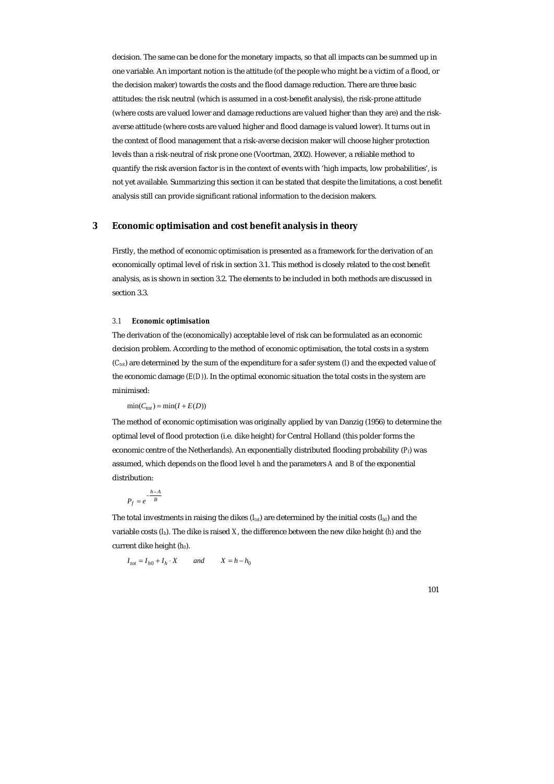decision. The same can be done for the monetary impacts, so that all impacts can be summed up in one variable. An important notion is the attitude (of the people who might be a victim of a flood, or the decision maker) towards the costs and the flood damage reduction. There are three basic attitudes: the risk neutral (which is assumed in a cost-benefit analysis), the risk-prone attitude (where costs are valued lower and damage reductions are valued higher than they are) and the riskaverse attitude (where costs are valued higher and flood damage is valued lower). It turns out in the context of flood management that a risk-averse decision maker will choose higher protection levels than a risk-neutral of risk prone one (Voortman, 2002). However, a reliable method to quantify the risk aversion factor is in the context of events with 'high impacts, low probabilities', is not yet available. Summarizing this section it can be stated that despite the limitations, a cost benefit analysis still can provide significant rational information to the decision makers.

## **3 Economic optimisation and cost benefit analysis in theory**

Firstly, the method of economic optimisation is presented as a framework for the derivation of an economically optimal level of risk in section 3.1. This method is closely related to the cost benefit analysis, as is shown in section 3.2. The elements to be included in both methods are discussed in section 3.3.

## *3.1 Economic optimisation*

The derivation of the (economically) acceptable level of risk can be formulated as an economic decision problem. According to the method of economic optimisation, the total costs in a system (*Ctot*) are determined by the sum of the expenditure for a safer system (*I*) and the expected value of the economic damage (*E(D)*). In the optimal economic situation the total costs in the system are minimised:

 $\min(C_{tot}) = \min(I + E(D))$ 

The method of economic optimisation was originally applied by van Danzig (1956) to determine the optimal level of flood protection (i.e. dike height) for Central Holland (this polder forms the economic centre of the Netherlands). An exponentially distributed flooding probability  $(P<sub>f</sub>)$  was assumed, which depends on the flood level *h* and the parameters *A* and *B* of the exponential distribution:

$$
P_f = e^{-\frac{h-A}{B}}
$$

The total investments in raising the dikes  $(I_{tot})$  are determined by the initial costs  $(I_{bo})$  and the variable costs (*Ih*). The dike is raised *X*, the difference between the new dike height (*h*) and the current dike height (*h0*).

$$
I_{tot} = I_{h0} + I_h \cdot X \qquad and \qquad X = h - h_0
$$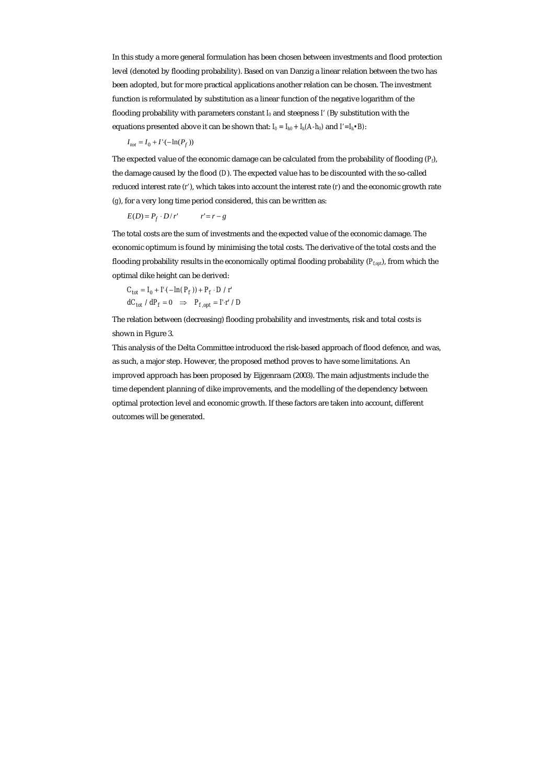In this study a more general formulation has been chosen between investments and flood protection level (denoted by flooding probability). Based on van Danzig a linear relation between the two has been adopted, but for more practical applications another relation can be chosen. The investment function is reformulated by substitution as a linear function of the negative logarithm of the flooding probability with parameters constant *I0* and steepness *I' (*By substitution with the equations presented above it can be shown that:  $I_0 = I_{h0} + I_h(A-h_0)$  and  $I'=I_h \bullet B$ ):

$$
I_{tot} = I_0 + I \cdot (-\ln(P_f))
$$

The expected value of the economic damage can be calculated from the probability of flooding (*Pf*), the damage caused by the flood (*D*). The expected value has to be discounted with the so-called reduced interest rate (*r'*), which takes into account the interest rate (*r*) and the economic growth rate (*g*), for a very long time period considered, this can be written as:

$$
E(D) = P_f \cdot D / r' \qquad r' = r - g
$$

The total costs are the sum of investments and the expected value of the economic damage. The economic optimum is found by minimising the total costs. The derivative of the total costs and the flooding probability results in the economically optimal flooding probability (*Pf,opt*), from which the optimal dike height can be derived:

$$
C_{tot} = I_0 + I'(-\ln(P_f)) + P_f \cdot D / r'
$$
  

$$
dC_{tot} / dP_f = 0 \implies P_{f,opt} = I' r' / D
$$

The relation between (decreasing) flooding probability and investments, risk and total costs is shown in Figure 3.

This analysis of the Delta Committee introduced the risk-based approach of flood defence, and was, as such, a major step. However, the proposed method proves to have some limitations. An improved approach has been proposed by Eijgenraam (2003). The main adjustments include the time dependent planning of dike improvements, and the modelling of the dependency between optimal protection level and economic growth. If these factors are taken into account, different outcomes will be generated.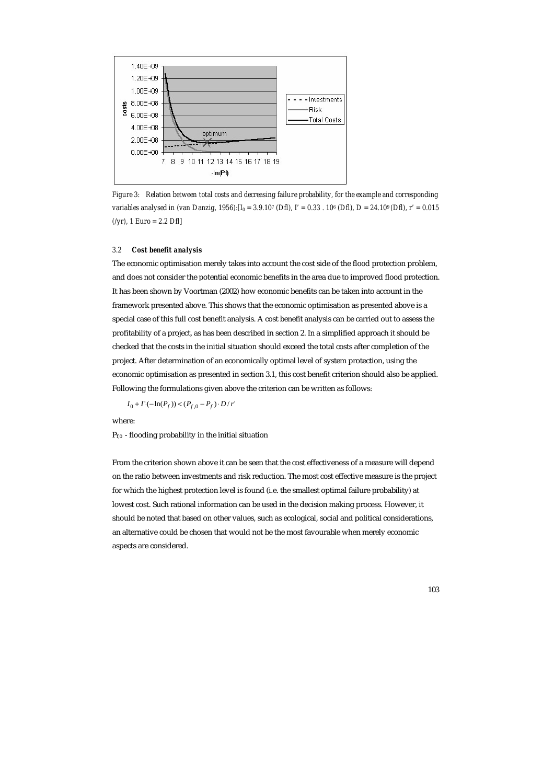

*Figure 3: Relation between total costs and decreasing failure probability, for the example and corresponding variables analysed in (van Danzig, 1956):*[ $I_0 = 3.9.10^7$  (Dfl),  $I' = 0.33$ . 10<sup>6</sup> (Dfl),  $D = 24.10^9$  (Dfl),  $r' = 0.015$ *(/yr), 1 Euro = 2.2 Dfl]* 

## *3.2 Cost benefit analysis*

The economic optimisation merely takes into account the cost side of the flood protection problem, and does not consider the potential economic benefits in the area due to improved flood protection. It has been shown by Voortman (2002) how economic benefits can be taken into account in the framework presented above. This shows that the economic optimisation as presented above is a special case of this full cost benefit analysis. A cost benefit analysis can be carried out to assess the profitability of a project, as has been described in section 2. In a simplified approach it should be checked that the costs in the initial situation should exceed the total costs after completion of the project. After determination of an economically optimal level of system protection, using the economic optimisation as presented in section 3.1, this cost benefit criterion should also be applied. Following the formulations given above the criterion can be written as follows:

 $I_0 + I'(-\ln(P_f)) < (P_{f,0} - P_f) \cdot D / r'$ 

where:

 $P_{f,0}$  - flooding probability in the initial situation

From the criterion shown above it can be seen that the cost effectiveness of a measure will depend on the ratio between investments and risk reduction. The most cost effective measure is the project for which the highest protection level is found (i.e. the smallest optimal failure probability) at lowest cost. Such rational information can be used in the decision making process. However, it should be noted that based on other values, such as ecological, social and political considerations, an alternative could be chosen that would not be the most favourable when merely economic aspects are considered.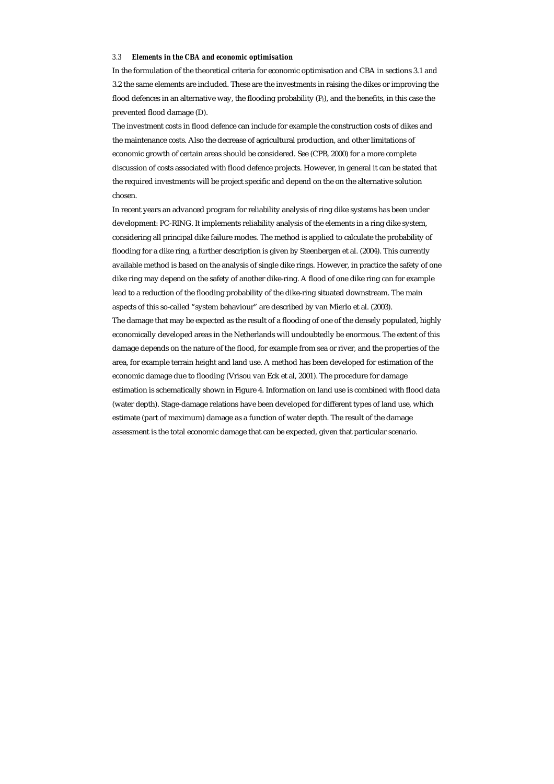#### *3.3 Elements in the CBA and economic optimisation*

In the formulation of the theoretical criteria for economic optimisation and CBA in sections 3.1 and 3.2 the same elements are included. These are the investments in raising the dikes or improving the flood defences in an alternative way, the flooding probability (Pf), and the benefits, in this case the prevented flood damage (D).

The investment costs in flood defence can include for example the construction costs of dikes and the maintenance costs. Also the decrease of agricultural production, and other limitations of economic growth of certain areas should be considered. See (CPB, 2000) for a more complete discussion of costs associated with flood defence projects. However, in general it can be stated that the required investments will be project specific and depend on the on the alternative solution chosen.

In recent years an advanced program for reliability analysis of ring dike systems has been under development: PC-RING. It implements reliability analysis of the elements in a ring dike system, considering all principal dike failure modes. The method is applied to calculate the probability of flooding for a dike ring, a further description is given by Steenbergen et al. (2004). This currently available method is based on the analysis of single dike rings. However, in practice the safety of one dike ring may depend on the safety of another dike-ring. A flood of one dike ring can for example lead to a reduction of the flooding probability of the dike-ring situated downstream. The main aspects of this so-called "system behaviour" are described by van Mierlo et al. (2003). The damage that may be expected as the result of a flooding of one of the densely populated, highly economically developed areas in the Netherlands will undoubtedly be enormous. The extent of this damage depends on the nature of the flood, for example from sea or river, and the properties of the area, for example terrain height and land use. A method has been developed for estimation of the economic damage due to flooding (Vrisou van Eck et al, 2001). The procedure for damage estimation is schematically shown in Figure 4. Information on land use is combined with flood data (water depth). Stage-damage relations have been developed for different types of land use, which estimate (part of maximum) damage as a function of water depth. The result of the damage assessment is the total economic damage that can be expected, given that particular scenario.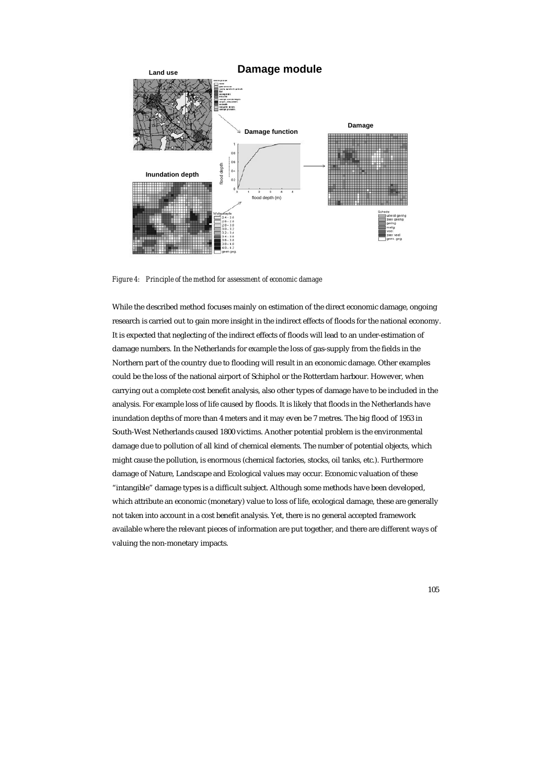

*Figure 4: Principle of the method for assessment of economic damage* 

While the described method focuses mainly on estimation of the direct economic damage, ongoing research is carried out to gain more insight in the indirect effects of floods for the national economy. It is expected that neglecting of the indirect effects of floods will lead to an under-estimation of damage numbers. In the Netherlands for example the loss of gas-supply from the fields in the Northern part of the country due to flooding will result in an economic damage. Other examples could be the loss of the national airport of Schiphol or the Rotterdam harbour. However, when carrying out a complete cost benefit analysis, also other types of damage have to be included in the analysis. For example loss of life caused by floods. It is likely that floods in the Netherlands have inundation depths of more than 4 meters and it may even be 7 metres. The big flood of 1953 in South-West Netherlands caused 1800 victims. Another potential problem is the environmental damage due to pollution of all kind of chemical elements. The number of potential objects, which might cause the pollution, is enormous (chemical factories, stocks, oil tanks, etc.). Furthermore damage of Nature, Landscape and Ecological values may occur. Economic valuation of these "intangible" damage types is a difficult subject. Although some methods have been developed, which attribute an economic (monetary) value to loss of life, ecological damage, these are generally not taken into account in a cost benefit analysis. Yet, there is no general accepted framework available where the relevant pieces of information are put together, and there are different ways of valuing the non-monetary impacts.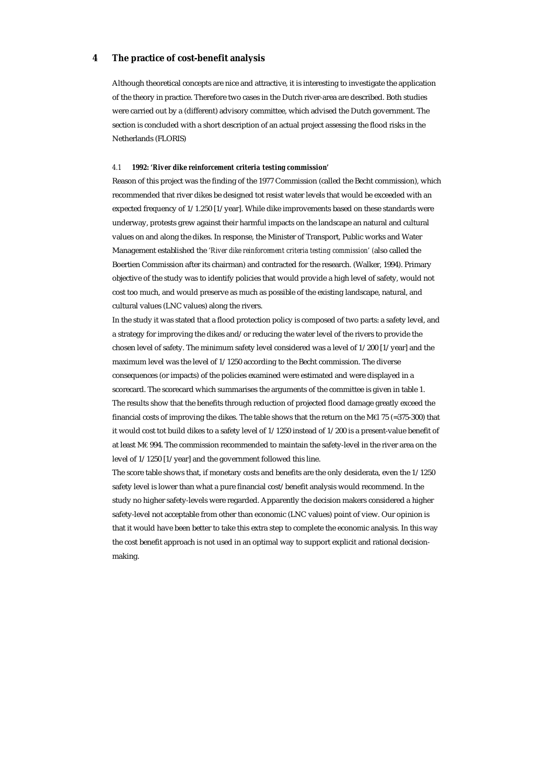# **4 The practice of cost-benefit analysis**

Although theoretical concepts are nice and attractive, it is interesting to investigate the application of the theory in practice. Therefore two cases in the Dutch river-area are described. Both studies were carried out by a (different) advisory committee, which advised the Dutch government. The section is concluded with a short description of an actual project assessing the flood risks in the Netherlands (FLORIS)

## *4.1 1992: 'River dike reinforcement criteria testing commission'*

Reason of this project was the finding of the 1977 Commission (called the Becht commission), which recommended that river dikes be designed tot resist water levels that would be exceeded with an expected frequency of 1/1.250 [1/year]. While dike improvements based on these standards were underway, protests grew against their harmful impacts on the landscape an natural and cultural values on and along the dikes. In response, the Minister of Transport, Public works and Water Management established the *'River dike reinforcement criteria testing commission' (*also called the Boertien Commission after its chairman) and contracted for the research. (Walker, 1994). Primary objective of the study was to identify policies that would provide a high level of safety, would not cost too much, and would preserve as much as possible of the existing landscape, natural, and cultural values (LNC values) along the rivers.

In the study it was stated that a flood protection policy is composed of two parts: a safety level, and a strategy for improving the dikes and/or reducing the water level of the rivers to provide the chosen level of safety. The minimum safety level considered was a level of 1/200 [1/year] and the maximum level was the level of 1/1250 according to the Becht commission. The diverse consequences (or impacts) of the policies examined were estimated and were displayed in a scorecard. The scorecard which summarises the arguments of the committee is given in table 1. The results show that the benefits through reduction of projected flood damage greatly exceed the financial costs of improving the dikes. The table shows that the return on the M $\bigoplus$  75 (=375-300) that it would cost tot build dikes to a safety level of 1/1250 instead of 1/200 is a present-value benefit of at least M€ 994. The commission recommended to maintain the safety-level in the river area on the level of 1/1250 [1/year] and the government followed this line.

The score table shows that, if monetary costs and benefits are the only desiderata, even the 1/1250 safety level is lower than what a pure financial cost/benefit analysis would recommend. In the study no higher safety-levels were regarded. Apparently the decision makers considered a higher safety-level not acceptable from other than economic (LNC values) point of view. Our opinion is that it would have been better to take this extra step to complete the economic analysis. In this way the cost benefit approach is not used in an optimal way to support explicit and rational decisionmaking.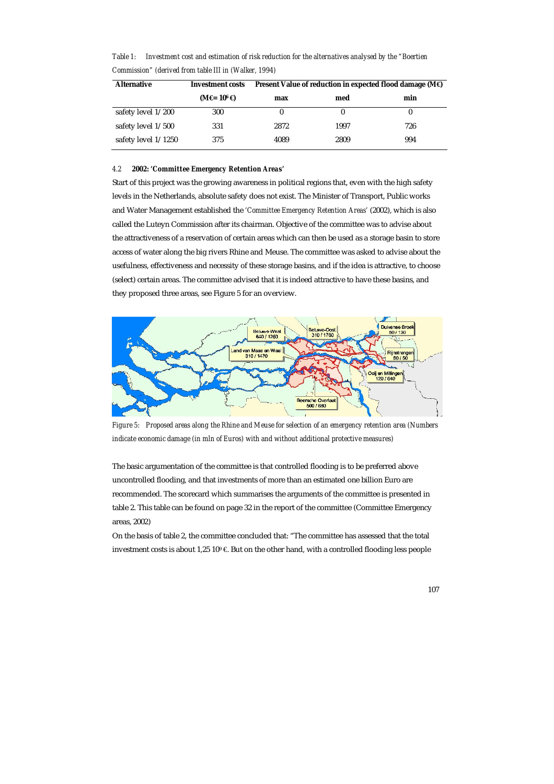| <b>Alternative</b>  | <b>Investment costs</b> | Present Value of reduction in expected flood damage (MO |      |     |  |
|---------------------|-------------------------|---------------------------------------------------------|------|-----|--|
|                     | (ME= $10^6 \Theta$      | max                                                     | med  | min |  |
| safety level 1/200  | 300                     |                                                         |      |     |  |
| safety level 1/500  | 331                     | 2872                                                    | 1997 | 726 |  |
| safety level 1/1250 | 375                     | 4089                                                    | 2809 | 994 |  |

*Table 1: Investment cost and estimation of risk reduction for the alternatives analysed by the "Boertien Commission" (derived from table III in (Walker, 1994)* 

#### *4.2 2002: 'Committee Emergency Retention Areas'*

Start of this project was the growing awareness in political regions that, even with the high safety levels in the Netherlands, absolute safety does not exist. The Minister of Transport, Public works and Water Management established the *'Committee Emergency Retention Areas'* (2002), which is also called the Luteyn Commission after its chairman. Objective of the committee was to advise about the attractiveness of a reservation of certain areas which can then be used as a storage basin to store access of water along the big rivers Rhine and Meuse. The committee was asked to advise about the usefulness, effectiveness and necessity of these storage basins, and if the idea is attractive, to choose (select) certain areas. The committee advised that it is indeed attractive to have these basins, and they proposed three areas, see Figure 5 for an overview.



*Figure 5: Proposed areas along the Rhine and Meuse for selection of an emergency retention area (Numbers indicate economic damage (in mln of Euros) with and without additional protective measures)* 

The basic argumentation of the committee is that controlled flooding is to be preferred above uncontrolled flooding, and that investments of more than an estimated one billion Euro are recommended. The scorecard which summarises the arguments of the committee is presented in table 2. This table can be found on page 32 in the report of the committee (Committee Emergency areas, 2002)

On the basis of table 2, the committee concluded that: "The committee has assessed that the total investment costs is about 1,25 10 $\theta \in$  But on the other hand, with a controlled flooding less people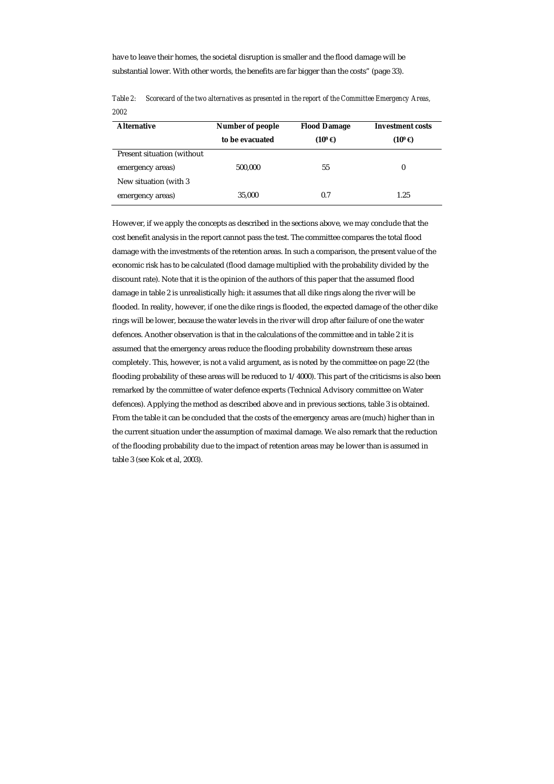have to leave their homes, the societal disruption is smaller and the flood damage will be substantial lower. With other words, the benefits are far bigger than the costs" (page 33).

| <b>Alternative</b>          | <b>Number of people</b><br>to be evacuated | <b>Flood Damage</b><br>$(10^9 \Theta)$ | <b>Investment costs</b><br>$(10^9 \Theta)$ |  |
|-----------------------------|--------------------------------------------|----------------------------------------|--------------------------------------------|--|
| Present situation (without) |                                            |                                        |                                            |  |
| emergency areas)            | 500.000                                    | 55                                     | $\bf{0}$                                   |  |
| New situation (with 3)      |                                            |                                        |                                            |  |
| emergency areas)            | 35,000                                     | 0.7                                    | 1.25                                       |  |

*Table 2: Scorecard of the two alternatives as presented in the report of the Committee Emergency Areas, 2002* 

However, if we apply the concepts as described in the sections above, we may conclude that the cost benefit analysis in the report cannot pass the test. The committee compares the total flood damage with the investments of the retention areas. In such a comparison, the present value of the economic risk has to be calculated (flood damage multiplied with the probability divided by the discount rate). Note that it is the opinion of the authors of this paper that the assumed flood damage in table 2 is unrealistically high: it assumes that all dike rings along the river will be flooded. In reality, however, if one the dike rings is flooded, the expected damage of the other dike rings will be lower, because the water levels in the river will drop after failure of one the water defences. Another observation is that in the calculations of the committee and in table 2 it is assumed that the emergency areas reduce the flooding probability downstream these areas completely. This, however, is not a valid argument, as is noted by the committee on page 22 (the flooding probability of these areas will be reduced to  $1/4000$ . This part of the criticisms is also been remarked by the committee of water defence experts (Technical Advisory committee on Water defences). Applying the method as described above and in previous sections, table 3 is obtained. From the table it can be concluded that the costs of the emergency areas are (much) higher than in the current situation under the assumption of maximal damage. We also remark that the reduction of the flooding probability due to the impact of retention areas may be lower than is assumed in table 3 (see Kok et al, 2003).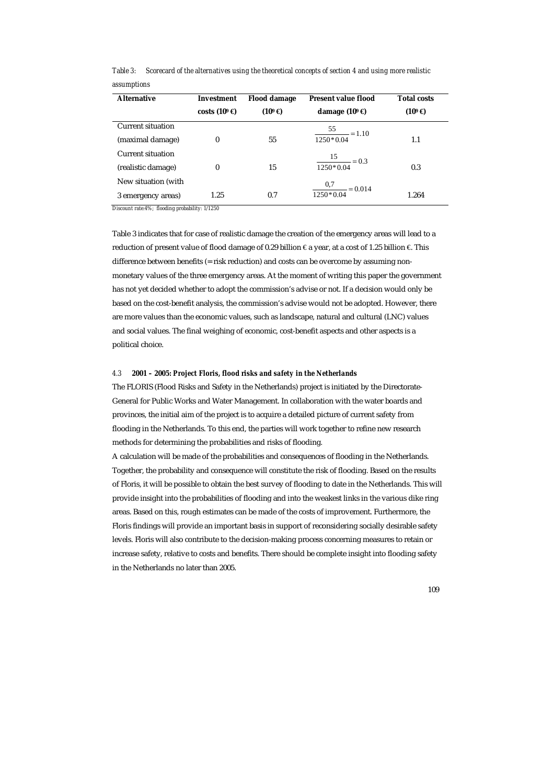| <b>Alternative</b>  | Investment<br>costs $(10^9 \Theta)$ | <b>Flood damage</b><br>$(10^9 \Theta)$ | <b>Present value flood</b><br>damage $(10^9 \Theta)$ | <b>Total costs</b><br>$(10^9 \Theta)$ |
|---------------------|-------------------------------------|----------------------------------------|------------------------------------------------------|---------------------------------------|
| Current situation   |                                     |                                        | 55                                                   |                                       |
| (maximal damage)    | 0                                   | 55                                     | $=1.10$<br>$1250 * 0.04$                             | 1.1                                   |
| Current situation   |                                     |                                        | $\frac{15}{1}$ = 0.3                                 |                                       |
| (realistic damage)  | 0                                   | 15                                     | $1250 * 0.04$                                        | 0.3                                   |
| New situation (with |                                     |                                        | 0,7                                                  |                                       |
| 3 emergency areas)  | 1.25                                | 0.7                                    | $= 0.014$<br>$1250 * 0.04$                           | 1.264                                 |

*Table 3: Scorecard of the alternatives using the theoretical concepts of section 4 and using more realistic assumptions* 

*Discount rate:4%; flooding probability: 1/1250* 

Table 3 indicates that for case of realistic damage the creation of the emergency areas will lead to a reduction of present value of flood damage of 0.29 billion  $\in$  a year, at a cost of 1.25 billion  $\in$  This difference between benefits (= risk reduction) and costs can be overcome by assuming nonmonetary values of the three emergency areas. At the moment of writing this paper the government has not yet decided whether to adopt the commission's advise or not. If a decision would only be based on the cost-benefit analysis, the commission's advise would not be adopted. However, there are more values than the economic values, such as landscape, natural and cultural (LNC) values and social values. The final weighing of economic, cost-benefit aspects and other aspects is a political choice.

## *4.3 2001 – 2005: Project Floris, flood risks and safety in the Netherlands*

The FLORIS (Flood Risks and Safety in the Netherlands) project is initiated by the Directorate-General for Public Works and Water Management. In collaboration with the water boards and provinces, the initial aim of the project is to acquire a detailed picture of current safety from flooding in the Netherlands. To this end, the parties will work together to refine new research methods for determining the probabilities and risks of flooding.

A calculation will be made of the probabilities and consequences of flooding in the Netherlands. Together, the probability and consequence will constitute the risk of flooding. Based on the results of Floris, it will be possible to obtain the best survey of flooding to date in the Netherlands. This will provide insight into the probabilities of flooding and into the weakest links in the various dike ring areas. Based on this, rough estimates can be made of the costs of improvement. Furthermore, the Floris findings will provide an important basis in support of reconsidering socially desirable safety levels. Floris will also contribute to the decision-making process concerning measures to retain or increase safety, relative to costs and benefits. There should be complete insight into flooding safety in the Netherlands no later than 2005.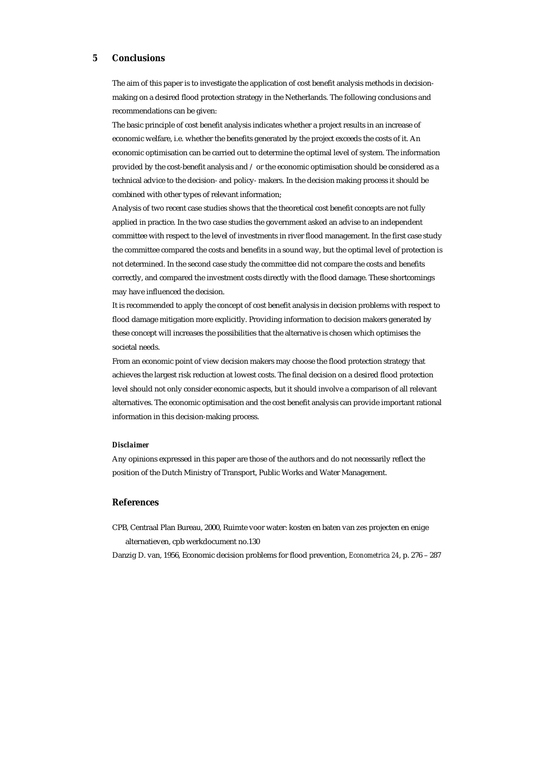# **5 Conclusions**

The aim of this paper is to investigate the application of cost benefit analysis methods in decisionmaking on a desired flood protection strategy in the Netherlands. The following conclusions and recommendations can be given:

The basic principle of cost benefit analysis indicates whether a project results in an increase of economic welfare, i.e. whether the benefits generated by the project exceeds the costs of it. An economic optimisation can be carried out to determine the optimal level of system. The information provided by the cost-benefit analysis and / or the economic optimisation should be considered as a technical advice to the decision- and policy- makers. In the decision making process it should be combined with other types of relevant information;

Analysis of two recent case studies shows that the theoretical cost benefit concepts are not fully applied in practice. In the two case studies the government asked an advise to an independent committee with respect to the level of investments in river flood management. In the first case study the committee compared the costs and benefits in a sound way, but the optimal level of protection is not determined. In the second case study the committee did not compare the costs and benefits correctly, and compared the investment costs directly with the flood damage. These shortcomings may have influenced the decision.

It is recommended to apply the concept of cost benefit analysis in decision problems with respect to flood damage mitigation more explicitly. Providing information to decision makers generated by these concept will increases the possibilities that the alternative is chosen which optimises the societal needs.

From an economic point of view decision makers may choose the flood protection strategy that achieves the largest risk reduction at lowest costs. The final decision on a desired flood protection level should not only consider economic aspects, but it should involve a comparison of all relevant alternatives. The economic optimisation and the cost benefit analysis can provide important rational information in this decision-making process.

## *Disclaimer*

Any opinions expressed in this paper are those of the authors and do not necessarily reflect the position of the Dutch Ministry of Transport, Public Works and Water Management.

# **References**

CPB, Centraal Plan Bureau, 2000, Ruimte voor water: kosten en baten van zes projecten en enige alternatieven, cpb werkdocument no.130

Danzig D. van, 1956, Economic decision problems for flood prevention, *Econometrica 24*, p. 276 – 287